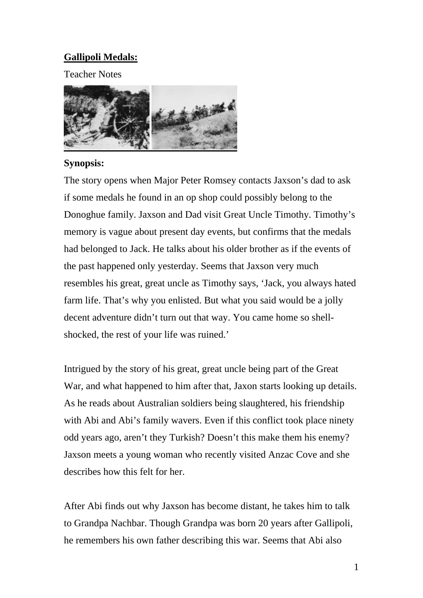## **Gallipoli Medals:**

Teacher Notes



#### **Synopsis:**

The story opens when Major Peter Romsey contacts Jaxson's dad to ask if some medals he found in an op shop could possibly belong to the Donoghue family. Jaxson and Dad visit Great Uncle Timothy. Timothy's memory is vague about present day events, but confirms that the medals had belonged to Jack. He talks about his older brother as if the events of the past happened only yesterday. Seems that Jaxson very much resembles his great, great uncle as Timothy says, 'Jack, you always hated farm life. That's why you enlisted. But what you said would be a jolly decent adventure didn't turn out that way. You came home so shellshocked, the rest of your life was ruined.'

Intrigued by the story of his great, great uncle being part of the Great War, and what happened to him after that, Jaxon starts looking up details. As he reads about Australian soldiers being slaughtered, his friendship with Abi and Abi's family wavers. Even if this conflict took place ninety odd years ago, aren't they Turkish? Doesn't this make them his enemy? Jaxson meets a young woman who recently visited Anzac Cove and she describes how this felt for her.

After Abi finds out why Jaxson has become distant, he takes him to talk to Grandpa Nachbar. Though Grandpa was born 20 years after Gallipoli, he remembers his own father describing this war. Seems that Abi also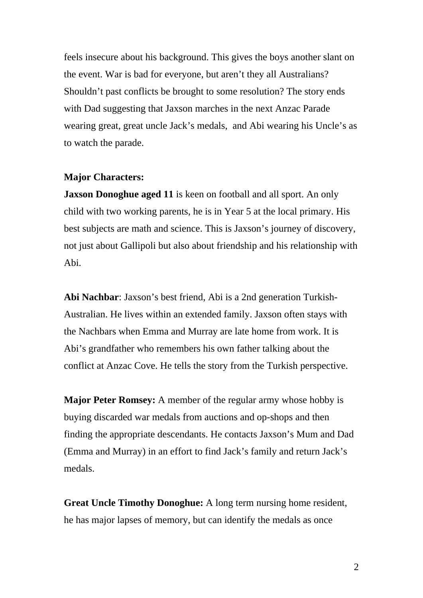feels insecure about his background. This gives the boys another slant on the event. War is bad for everyone, but aren't they all Australians? Shouldn't past conflicts be brought to some resolution? The story ends with Dad suggesting that Jaxson marches in the next Anzac Parade wearing great, great uncle Jack's medals, and Abi wearing his Uncle's as to watch the parade.

#### **Major Characters:**

**Jaxson Donoghue aged 11** is keen on football and all sport. An only child with two working parents, he is in Year 5 at the local primary. His best subjects are math and science. This is Jaxson's journey of discovery, not just about Gallipoli but also about friendship and his relationship with Abi.

**Abi Nachbar**: Jaxson's best friend, Abi is a 2nd generation Turkish-Australian. He lives within an extended family. Jaxson often stays with the Nachbars when Emma and Murray are late home from work. It is Abi's grandfather who remembers his own father talking about the conflict at Anzac Cove. He tells the story from the Turkish perspective.

**Major Peter Romsey:** A member of the regular army whose hobby is buying discarded war medals from auctions and op-shops and then finding the appropriate descendants. He contacts Jaxson's Mum and Dad (Emma and Murray) in an effort to find Jack's family and return Jack's medals.

**Great Uncle Timothy Donoghue:** A long term nursing home resident, he has major lapses of memory, but can identify the medals as once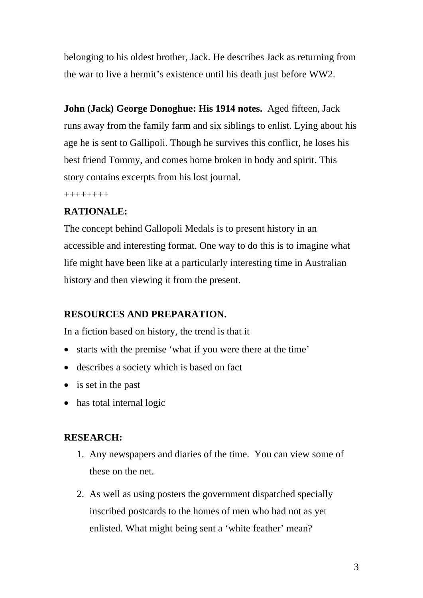belonging to his oldest brother, Jack. He describes Jack as returning from the war to live a hermit's existence until his death just before WW2.

**John (Jack) George Donoghue: His 1914 notes.** Aged fifteen, Jack runs away from the family farm and six siblings to enlist. Lying about his age he is sent to Gallipoli. Though he survives this conflict, he loses his best friend Tommy, and comes home broken in body and spirit. This story contains excerpts from his lost journal.

++++++++

## **RATIONALE:**

The concept behind Gallopoli Medals is to present history in an accessible and interesting format. One way to do this is to imagine what life might have been like at a particularly interesting time in Australian history and then viewing it from the present.

### **RESOURCES AND PREPARATION.**

In a fiction based on history, the trend is that it

- starts with the premise 'what if you were there at the time'
- describes a society which is based on fact
- is set in the past
- has total internal logic

### **RESEARCH:**

- 1. Any newspapers and diaries of the time. You can view some of these on the net.
- 2. As well as using posters the government dispatched specially inscribed postcards to the homes of men who had not as yet enlisted. What might being sent a 'white feather' mean?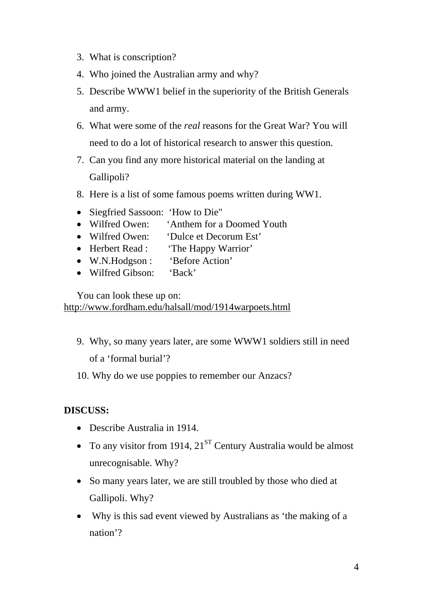- 3. What is conscription?
- 4. Who joined the Australian army and why?
- 5. Describe WWW1 belief in the superiority of the British Generals and army.
- 6. What were some of the *real* reasons for the Great War? You will need to do a lot of historical research to answer this question.
- 7. Can you find any more historical material on the landing at Gallipoli?
- 8. Here is a list of some famous poems written during WW1.
- Siegfried Sassoon: 'How to Die"
- Wilfred Owen: 'Anthem for a Doomed Youth
- Wilfred Owen: 'Dulce et Decorum Est'
- Herbert Read : 'The Happy Warrior'
- W.N.Hodgson : 'Before Action'
- Wilfred Gibson: 'Back'

You can look these up on: http://www.fordham.edu/halsall/mod/1914warpoets.html

- 9. Why, so many years later, are some WWW1 soldiers still in need of a 'formal burial'?
- 10. Why do we use poppies to remember our Anzacs?

### **DISCUSS:**

- Describe Australia in 1914.
- To any visitor from 1914,  $21^{ST}$  Century Australia would be almost unrecognisable. Why?
- So many years later, we are still troubled by those who died at Gallipoli. Why?
- Why is this sad event viewed by Australians as 'the making of a nation'?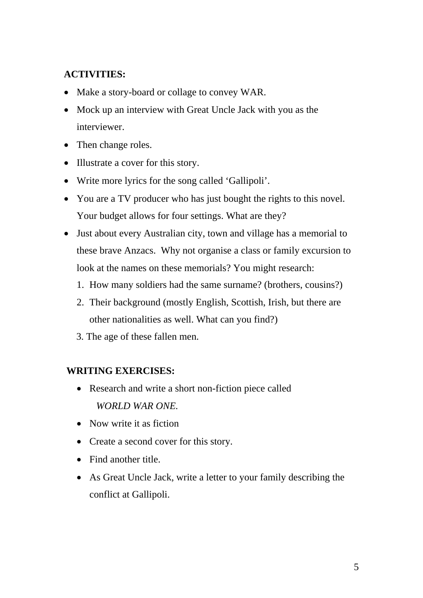# **ACTIVITIES:**

- Make a story-board or collage to convey WAR.
- Mock up an interview with Great Uncle Jack with you as the interviewer.
- Then change roles.
- Illustrate a cover for this story.
- Write more lyrics for the song called 'Gallipoli'.
- You are a TV producer who has just bought the rights to this novel. Your budget allows for four settings. What are they?
- Just about every Australian city, town and village has a memorial to these brave Anzacs. Why not organise a class or family excursion to look at the names on these memorials? You might research:
	- 1. How many soldiers had the same surname? (brothers, cousins?)
	- 2. Their background (mostly English, Scottish, Irish, but there are other nationalities as well. What can you find?)
	- 3. The age of these fallen men.

## **WRITING EXERCISES:**

- Research and write a short non-fiction piece called  *WORLD WAR ONE.*
- Now write it as fiction
- Create a second cover for this story.
- Find another title.
- As Great Uncle Jack, write a letter to your family describing the conflict at Gallipoli.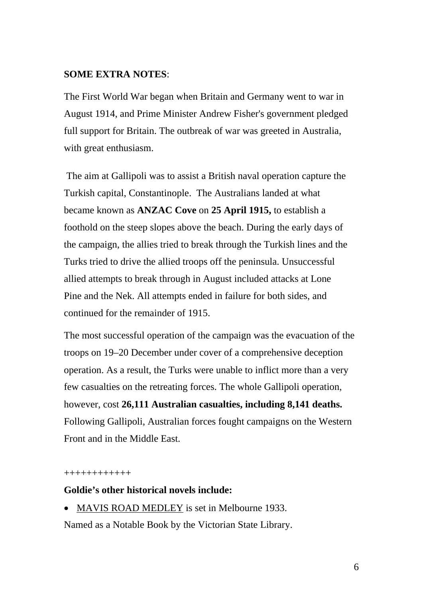#### **SOME EXTRA NOTES**:

The First World War began when Britain and Germany went to war in August 1914, and Prime Minister Andrew Fisher's government pledged full support for Britain. The outbreak of war was greeted in Australia, with great enthusiasm.

 The aim at Gallipoli was to assist a British naval operation capture the Turkish capital, Constantinople. The Australians landed at what became known as **ANZAC Cove** on **25 April 1915,** to establish a foothold on the steep slopes above the beach. During the early days of the campaign, the allies tried to break through the Turkish lines and the Turks tried to drive the allied troops off the peninsula. Unsuccessful allied attempts to break through in August included attacks at Lone Pine and the Nek. All attempts ended in failure for both sides, and continued for the remainder of 1915.

The most successful operation of the campaign was the evacuation of the troops on 19–20 December under cover of a comprehensive deception operation. As a result, the Turks were unable to inflict more than a very few casualties on the retreating forces. The whole Gallipoli operation, however, cost **26,111 Australian casualties, including 8,141 deaths.** Following Gallipoli, Australian forces fought campaigns on the Western Front and in the Middle East.

++++++++++++

#### **Goldie's other historical novels include:**

• MAVIS ROAD MEDLEY is set in Melbourne 1933.

Named as a Notable Book by the Victorian State Library.